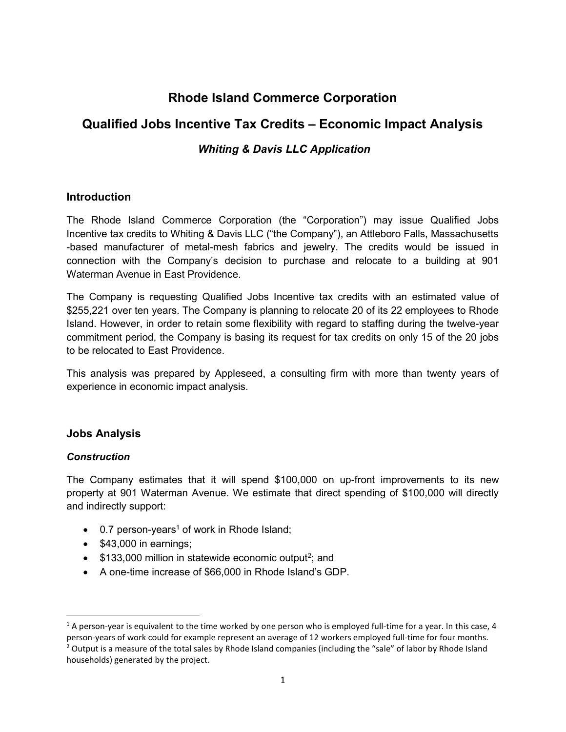# Rhode Island Commerce Corporation

# Qualified Jobs Incentive Tax Credits – Economic Impact Analysis

# Whiting & Davis LLC Application

### **Introduction**

The Rhode Island Commerce Corporation (the "Corporation") may issue Qualified Jobs Incentive tax credits to Whiting & Davis LLC ("the Company"), an Attleboro Falls, Massachusetts -based manufacturer of metal-mesh fabrics and jewelry. The credits would be issued in connection with the Company's decision to purchase and relocate to a building at 901 Waterman Avenue in East Providence.

The Company is requesting Qualified Jobs Incentive tax credits with an estimated value of \$255,221 over ten years. The Company is planning to relocate 20 of its 22 employees to Rhode Island. However, in order to retain some flexibility with regard to staffing during the twelve-year commitment period, the Company is basing its request for tax credits on only 15 of the 20 jobs to be relocated to East Providence.

This analysis was prepared by Appleseed, a consulting firm with more than twenty years of experience in economic impact analysis.

# Jobs Analysis

#### **Construction**

The Company estimates that it will spend \$100,000 on up-front improvements to its new property at 901 Waterman Avenue. We estimate that direct spending of \$100,000 will directly and indirectly support:

- $\bullet$  0.7 person-years<sup>1</sup> of work in Rhode Island;
- $\bullet$  \$43,000 in earnings;
- $\bullet$  \$133,000 million in statewide economic output<sup>2</sup>; and
- A one-time increase of \$66,000 in Rhode Island's GDP.

<sup>&</sup>lt;sup>1</sup> A person-year is equivalent to the time worked by one person who is employed full-time for a year. In this case, 4 person-years of work could for example represent an average of 12 workers employed full-time for four months.

<sup>&</sup>lt;sup>2</sup> Output is a measure of the total sales by Rhode Island companies (including the "sale" of labor by Rhode Island households) generated by the project.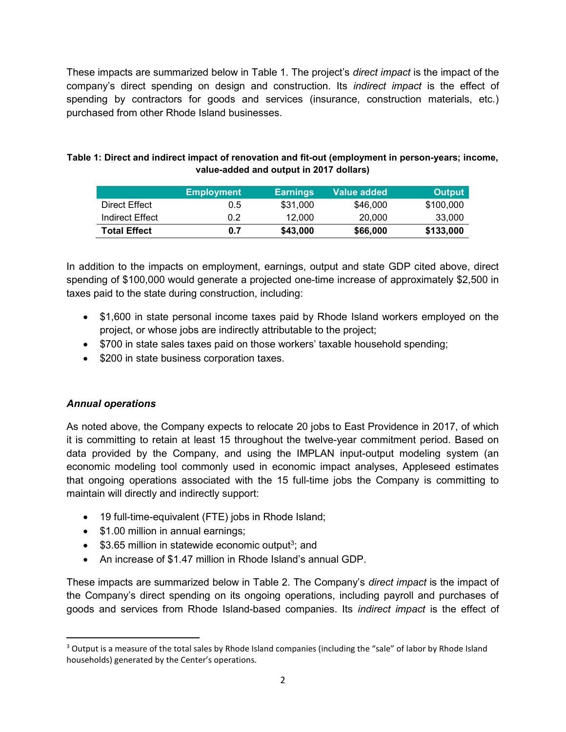These impacts are summarized below in Table 1. The project's *direct impact* is the impact of the company's direct spending on design and construction. Its *indirect impact* is the effect of spending by contractors for goods and services (insurance, construction materials, etc.) purchased from other Rhode Island businesses.

| Table 1: Direct and indirect impact of renovation and fit-out (employment in person-years; income, |
|----------------------------------------------------------------------------------------------------|
| value-added and output in 2017 dollars)                                                            |

|                     | <b>Employment</b> | <b>Earnings</b> | <b>Value added</b> ' | <b>Output</b> |
|---------------------|-------------------|-----------------|----------------------|---------------|
| Direct Effect       | 0.5               | \$31,000        | \$46,000             | \$100,000     |
| Indirect Effect     | 0.2               | 12.000          | 20,000               | 33,000        |
| <b>Total Effect</b> | 0.7               | \$43,000        | \$66,000             | \$133,000     |

In addition to the impacts on employment, earnings, output and state GDP cited above, direct spending of \$100,000 would generate a projected one-time increase of approximately \$2,500 in taxes paid to the state during construction, including:

- \$1,600 in state personal income taxes paid by Rhode Island workers employed on the project, or whose jobs are indirectly attributable to the project;
- \$700 in state sales taxes paid on those workers' taxable household spending;
- \$200 in state business corporation taxes.

# Annual operations

 $\overline{a}$ 

As noted above, the Company expects to relocate 20 jobs to East Providence in 2017, of which it is committing to retain at least 15 throughout the twelve-year commitment period. Based on data provided by the Company, and using the IMPLAN input-output modeling system (an economic modeling tool commonly used in economic impact analyses, Appleseed estimates that ongoing operations associated with the 15 full-time jobs the Company is committing to maintain will directly and indirectly support:

- 19 full-time-equivalent (FTE) jobs in Rhode Island;
- \$1.00 million in annual earnings;
- $$3.65$  million in statewide economic output<sup>3</sup>; and
- An increase of \$1.47 million in Rhode Island's annual GDP.

These impacts are summarized below in Table 2. The Company's *direct impact* is the impact of the Company's direct spending on its ongoing operations, including payroll and purchases of goods and services from Rhode Island-based companies. Its indirect impact is the effect of

<sup>&</sup>lt;sup>3</sup> Output is a measure of the total sales by Rhode Island companies (including the "sale" of labor by Rhode Island households) generated by the Center's operations.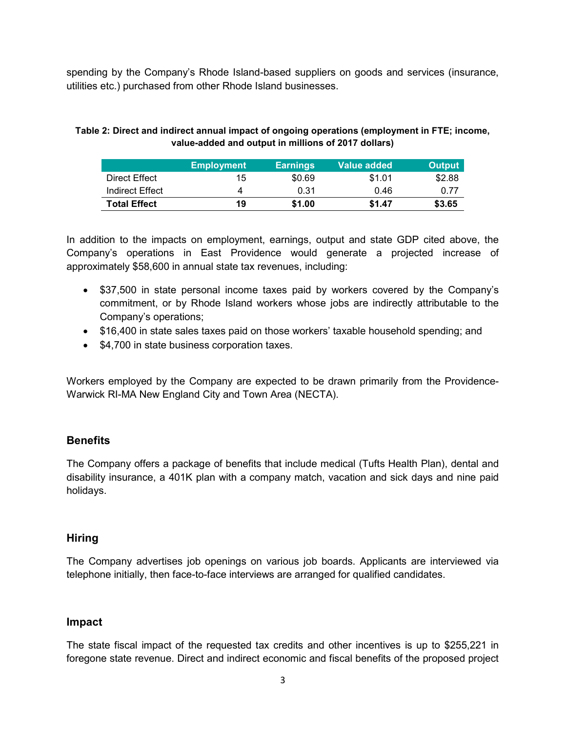spending by the Company's Rhode Island-based suppliers on goods and services (insurance, utilities etc.) purchased from other Rhode Island businesses.

#### Table 2: Direct and indirect annual impact of ongoing operations (employment in FTE; income, value-added and output in millions of 2017 dollars)

|                     | <b>Employment</b> | <b>Earnings</b> | Value added | <b>Output</b> |
|---------------------|-------------------|-----------------|-------------|---------------|
| Direct Effect       | 15                | \$0.69          | \$1.01      | \$2.88        |
| Indirect Effect     | 4                 | 0.31            | 0.46        | 0.77          |
| <b>Total Effect</b> | 19                | \$1.00          | \$1.47      | \$3.65        |

In addition to the impacts on employment, earnings, output and state GDP cited above, the Company's operations in East Providence would generate a projected increase of approximately \$58,600 in annual state tax revenues, including:

- \$37,500 in state personal income taxes paid by workers covered by the Company's commitment, or by Rhode Island workers whose jobs are indirectly attributable to the Company's operations;
- \$16,400 in state sales taxes paid on those workers' taxable household spending; and
- \$4,700 in state business corporation taxes.

Workers employed by the Company are expected to be drawn primarily from the Providence-Warwick RI-MA New England City and Town Area (NECTA).

#### **Benefits**

The Company offers a package of benefits that include medical (Tufts Health Plan), dental and disability insurance, a 401K plan with a company match, vacation and sick days and nine paid holidays.

# Hiring

The Company advertises job openings on various job boards. Applicants are interviewed via telephone initially, then face-to-face interviews are arranged for qualified candidates.

#### Impact

The state fiscal impact of the requested tax credits and other incentives is up to \$255,221 in foregone state revenue. Direct and indirect economic and fiscal benefits of the proposed project